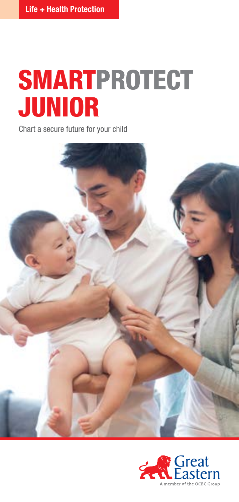# **SMARTPROTECT** JUNIOR

Chart a secure future for your child



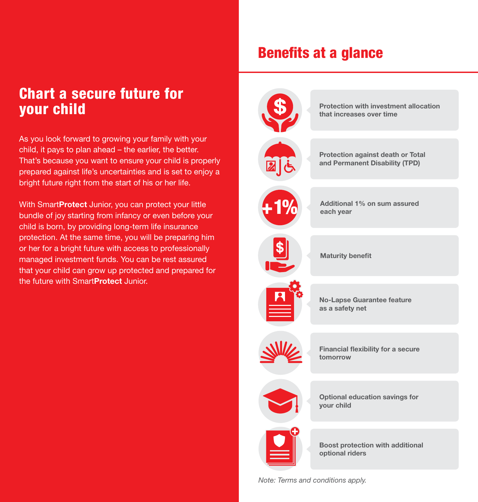# Chart a secure future for your child

As you look forward to growing your family with your child, it pays to plan ahead – the earlier, the better. That's because you want to ensure your child is properly prepared against life's uncertainties and is set to enjoy a bright future right from the start of his or her life.

With Smart **Protect** Junior, you can protect your little bundle of joy starting from infancy or even before your child is born, by providing long-term life insurance protection. At the same time, you will be preparing him or her for a bright future with access to professionally managed investment funds. You can be rest assured that your child can grow up protected and prepared for the future with SmartProtect Junior.

# Benefits at a glance



*Note: Terms and conditions apply.*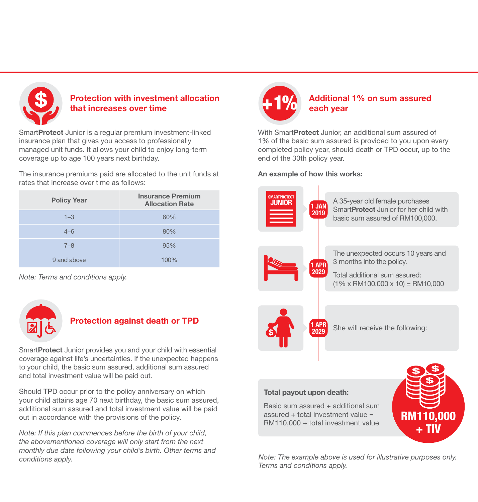

# Protection with investment allocation that increases over time

SmartProtect Junior is a regular premium investment-linked insurance plan that gives you access to professionally managed unit funds. It allows your child to enjoy long-term coverage up to age 100 years next birthday.

The insurance premiums paid are allocated to the unit funds at rates that increase over time as follows:

| <b>Policy Year</b> | <b>Insurance Premium</b><br><b>Allocation Rate</b> |
|--------------------|----------------------------------------------------|
| $1 - 3$            | 60%                                                |
| $4 - 6$            | 80%                                                |
| $7 - 8$            | 95%                                                |
| 9 and above        | 100%                                               |

*Note: Terms and conditions apply.*



# Protection against death or TPD

SmartProtect Junior provides you and your child with essential coverage against life's uncertainties. If the unexpected happens to your child, the basic sum assured, additional sum assured and total investment value will be paid out.

Should TPD occur prior to the policy anniversary on which your child attains age 70 next birthday, the basic sum assured, additional sum assured and total investment value will be paid out in accordance with the provisions of the policy.

*Note: If this plan commences before the birth of your child, the abovementioned coverage will only start from the next monthly due date following your child's birth. Other terms and conditions apply.*



# Additional 1% on sum assured each year

With SmartProtect Junior, an additional sum assured of 1% of the basic sum assured is provided to you upon every completed policy year, should death or TPD occur, up to the end of the 30th policy year.

#### An example of how this works:



*Note: The example above is used for illustrative purposes only. Terms and conditions apply.*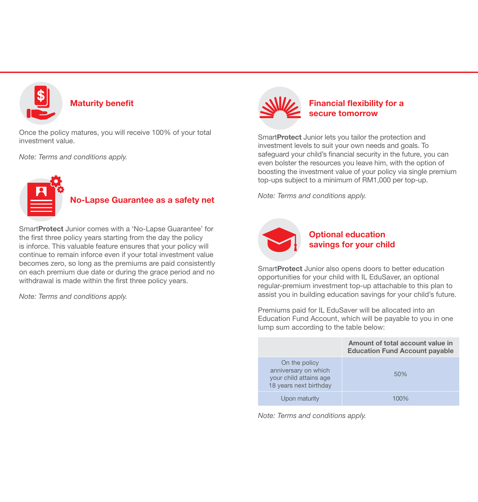

### Maturity benefit

Once the policy matures, you will receive 100% of your total investment value.

*Note: Terms and conditions apply.*



# No-Lapse Guarantee as a safety net

SmartProtect Junior comes with a 'No-Lapse Guarantee' for the first three policy years starting from the day the policy is inforce. This valuable feature ensures that your policy will continue to remain inforce even if your total investment value becomes zero, so long as the premiums are paid consistently on each premium due date or during the grace period and no withdrawal is made within the first three policy years.

*Note: Terms and conditions apply.*



# Financial flexibility for a secure tomorrow

SmartProtect Junior lets you tailor the protection and investment levels to suit your own needs and goals. To safeguard your child's financial security in the future, you can even bolster the resources you leave him, with the option of boosting the investment value of your policy via single premium top-ups subject to a minimum of RM1,000 per top-up.

*Note: Terms and conditions apply.*



# Optional education savings for your child

SmartProtect Junior also opens doors to better education opportunities for your child with IL EduSaver, an optional regular-premium investment top-up attachable to this plan to assist you in building education savings for your child's future.

Premiums paid for IL EduSaver will be allocated into an Education Fund Account, which will be payable to you in one lump sum according to the table below:

|                                                                                           | Amount of total account value in<br><b>Education Fund Account payable</b> |
|-------------------------------------------------------------------------------------------|---------------------------------------------------------------------------|
| On the policy<br>anniversary on which<br>your child attains age<br>18 years next birthday | 50%                                                                       |
| Upon maturity                                                                             | 100%                                                                      |

*Note: Terms and conditions apply.*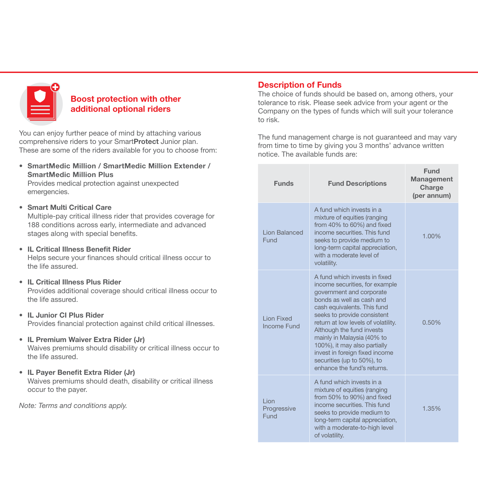

# Boost protection with other additional optional riders

You can enjoy further peace of mind by attaching various comprehensive riders to your SmartProtect Junior plan. These are some of the riders available for you to choose from:

• SmartMedic Million / SmartMedic Million Extender / SmartMedic Million Plus

Provides medical protection against unexpected emergencies.

### • Smart Multi Critical Care

Multiple-pay critical illness rider that provides coverage for 188 conditions across early, intermediate and advanced stages along with special benefits.

• IL Critical Illness Benefit Rider

Helps secure your finances should critical illness occur to the life assured.

• IL Critical Illness Plus Rider

Provides additional coverage should critical illness occur to the life assured.

• IL Junior CI Plus Rider

Provides financial protection against child critical illnesses.

#### • IL Premium Waiver Extra Rider (Jr)

Waives premiums should disability or critical illness occur to the life assured.

• IL Payer Benefit Extra Rider (Jr)

Waives premiums should death, disability or critical illness occur to the payer.

*Note: Terms and conditions apply.*

# Description of Funds

The choice of funds should be based on, among others, your tolerance to risk. Please seek advice from your agent or the Company on the types of funds which will suit your tolerance to risk.

The fund management charge is not guaranteed and may vary from time to time by giving you 3 months' advance written notice. The available funds are:

| <b>Funds</b>                            | <b>Fund Descriptions</b>                                                                                                                                                                                                                                                                                                                                                                                                | Fund<br><b>Management</b><br>Charge<br>(per annum) |
|-----------------------------------------|-------------------------------------------------------------------------------------------------------------------------------------------------------------------------------------------------------------------------------------------------------------------------------------------------------------------------------------------------------------------------------------------------------------------------|----------------------------------------------------|
| Lion Balanced<br>Fund                   | A fund which invests in a<br>mixture of equities (ranging<br>from 40% to 60%) and fixed<br>income securities. This fund<br>seeks to provide medium to<br>long-term capital appreciation,<br>with a moderate level of<br>volatility.                                                                                                                                                                                     | 1.00%                                              |
| <b>Lion Fixed</b><br><b>Income Fund</b> | A fund which invests in fixed<br>income securities, for example<br>government and corporate<br>bonds as well as cash and<br>cash equivalents. This fund<br>seeks to provide consistent<br>return at low levels of volatility.<br>Although the fund invests<br>mainly in Malaysia (40% to<br>100%), it may also partially<br>invest in foreign fixed income<br>securities (up to 50%), to<br>enhance the fund's returns. | 0.50%                                              |
| Lion<br>Progressive<br>Fund             | A fund which invests in a<br>mixture of equities (ranging<br>from 50% to 90%) and fixed<br>income securities. This fund<br>seeks to provide medium to<br>long-term capital appreciation,<br>with a moderate-to-high level<br>of volatility.                                                                                                                                                                             | 1.35%                                              |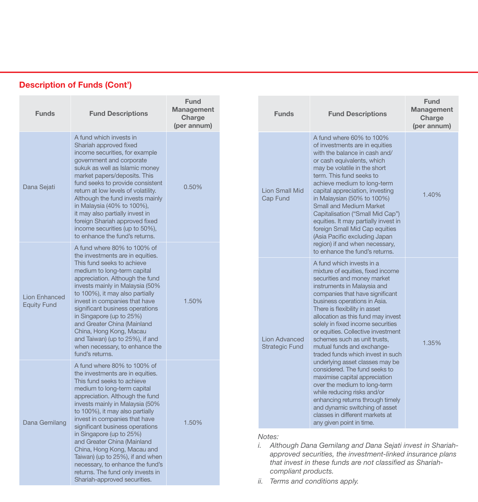| <b>Funds</b>                               | <b>Fund Descriptions</b>                                                                                                                                                                                                                                                                                                                                                                                                                                                                | <b>Fund</b><br>Management<br>Charge<br>(per annum) | <b>Funds</b>                                  | <b>Fund Descriptions</b>                                                                                                                                                                                                                                                                                                                                                                                                                                                                                                 | <b>Fund</b><br><b>Management</b><br>Charge<br>(per annum) |
|--------------------------------------------|-----------------------------------------------------------------------------------------------------------------------------------------------------------------------------------------------------------------------------------------------------------------------------------------------------------------------------------------------------------------------------------------------------------------------------------------------------------------------------------------|----------------------------------------------------|-----------------------------------------------|--------------------------------------------------------------------------------------------------------------------------------------------------------------------------------------------------------------------------------------------------------------------------------------------------------------------------------------------------------------------------------------------------------------------------------------------------------------------------------------------------------------------------|-----------------------------------------------------------|
| Dana Sejati                                | A fund which invests in<br>Shariah approved fixed<br>income securities, for example<br>government and corporate<br>sukuk as well as Islamic money<br>market papers/deposits. This<br>fund seeks to provide consistent<br>return at low levels of volatility.<br>Although the fund invests mainly<br>in Malaysia (40% to 100%),<br>it may also partially invest in<br>foreign Shariah approved fixed<br>income securities (up to 50%),<br>to enhance the fund's returns.                 | 0.50%                                              | <b>Lion Small Mid</b><br>Cap Fund             | A fund where 60% to 100%<br>of investments are in equities<br>with the balance in cash and/<br>or cash equivalents, which<br>may be volatile in the short<br>term. This fund seeks to<br>achieve medium to long-term<br>capital appreciation, investing<br>in Malaysian (50% to 100%)<br><b>Small and Medium Market</b><br>Capitalisation ("Small Mid Cap")<br>equities. It may partially invest in<br>foreign Small Mid Cap equities<br>(Asia Pacific excluding Japan                                                   | 1.40%                                                     |
| <b>Lion Enhanced</b><br><b>Equity Fund</b> | A fund where 80% to 100% of<br>the investments are in equities.<br>This fund seeks to achieve<br>medium to long-term capital<br>appreciation. Although the fund<br>invests mainly in Malaysia (50%<br>to 100%), it may also partially<br>invest in companies that have<br>significant business operations<br>in Singapore (up to 25%)<br>and Greater China (Mainland<br>China, Hong Kong, Macau<br>and Taiwan) (up to 25%), if and<br>when necessary, to enhance the<br>fund's returns. | 1.50%                                              | <b>Lion Advanced</b><br><b>Strategic Fund</b> | region) if and when necessary,<br>to enhance the fund's returns.<br>A fund which invests in a<br>mixture of equities, fixed income<br>securities and money market<br>instruments in Malaysia and<br>companies that have significant<br>business operations in Asia.<br>There is flexibility in asset<br>allocation as this fund may invest<br>solely in fixed income securities<br>or equities. Collective investment<br>schemes such as unit trusts,<br>mutual funds and exchange-<br>traded funds which invest in such | 1.35%                                                     |
| Dana Gemilang                              | A fund where 80% to 100% of<br>the investments are in equities.<br>This fund seeks to achieve<br>medium to long-term capital<br>appreciation. Although the fund<br>invests mainly in Malaysia (50%<br>to 100%), it may also partially<br>invest in companies that have<br>significant business operations                                                                                                                                                                               | 1.50%                                              |                                               | underlying asset classes may be<br>considered. The fund seeks to<br>maximise capital appreciation<br>over the medium to long-term<br>while reducing risks and/or<br>enhancing returns through timely<br>and dynamic switching of asset<br>classes in different markets at<br>any given point in time.                                                                                                                                                                                                                    |                                                           |
|                                            | in Singapore (up to 25%)<br>and Greater China (Mainland<br>China, Hong Kong, Macau and<br>Taiwan) (up to 25%), if and when<br>necessary, to enhance the fund's<br>returns. The fund only invests in                                                                                                                                                                                                                                                                                     |                                                    | Notes:<br>i.                                  | Although Dana Gemilang and Dana Sejati invest in Shariah-<br>approved securities, the investment-linked insurance plans<br>that invest in these funds are not classified as Shariah-<br>compliant products.                                                                                                                                                                                                                                                                                                              |                                                           |

# Description of Funds (Cont')

Shariah-approved securities.

*ii. Terms and conditions apply.*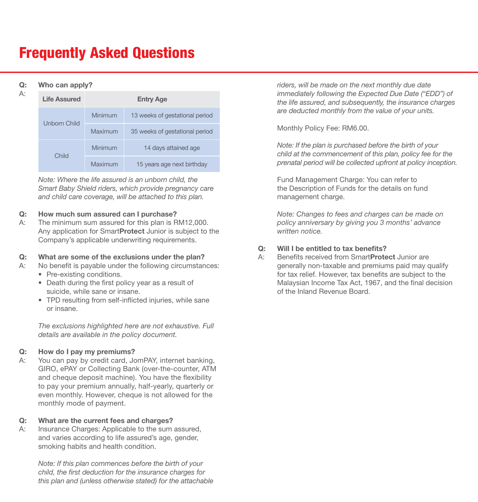# Frequently Asked Questions

#### Q: Who can apply?

| ۰. |  |  |
|----|--|--|
| -- |  |  |
|    |  |  |

|  |  |  | who can apply? |
|--|--|--|----------------|
|--|--|--|----------------|

| <b>Life Assured</b> | <b>Entry Age</b> |                                |  |
|---------------------|------------------|--------------------------------|--|
| <b>Unborn Child</b> | Minimum          | 13 weeks of gestational period |  |
|                     | Maximum          | 35 weeks of gestational period |  |
| Child               | Minimum          | 14 days attained age           |  |
|                     | Maximum          | 15 years age next birthday     |  |

*Note: Where the life assured is an unborn child, the Smart Baby Shield riders, which provide pregnancy care and child care coverage, will be attached to this plan.* 

#### Q: How much sum assured can I purchase?

A: The minimum sum assured for this plan is RM12,000. Any application for SmartProtect Junior is subject to the Company's applicable underwriting requirements.

#### Q: What are some of the exclusions under the plan?

- A: No benefit is payable under the following circumstances:
	- Pre-existing conditions.
	- Death during the first policy year as a result of suicide, while sane or insane.
	- TPD resulting from self-inflicted injuries, while sane or insane.

*The exclusions highlighted here are not exhaustive. Full details are available in the policy document.*

#### Q: How do I pay my premiums?

A: You can pay by credit card, JomPAY, internet banking, GIRO, ePAY or Collecting Bank (over-the-counter, ATM and cheque deposit machine). You have the flexibility to pay your premium annually, half-yearly, quarterly or even monthly. However, cheque is not allowed for the monthly mode of payment.

#### Q: What are the current fees and charges?

A: Insurance Charges: Applicable to the sum assured, and varies according to life assured's age, gender, smoking habits and health condition.

> *Note: If this plan commences before the birth of your child, the first deduction for the insurance charges for this plan and (unless otherwise stated) for the attachable*

*riders, will be made on the next monthly due date immediately following the Expected Due Date ("EDD") of the life assured, and subsequently, the insurance charges are deducted monthly from the value of your units.*

Monthly Policy Fee: RM6.00.

*Note: If the plan is purchased before the birth of your child at the commencement of this plan, policy fee for the prenatal period will be collected upfront at policy inception.*

Fund Management Charge: You can refer to the Description of Funds for the details on fund management charge.

*Note: Changes to fees and charges can be made on policy anniversary by giving you 3 months' advance written notice.*

### Q: Will I be entitled to tax benefits?

A: Benefits received from SmartProtect Junior are generally non-taxable and premiums paid may qualify for tax relief. However, tax benefits are subject to the Malaysian Income Tax Act, 1967, and the final decision of the Inland Revenue Board.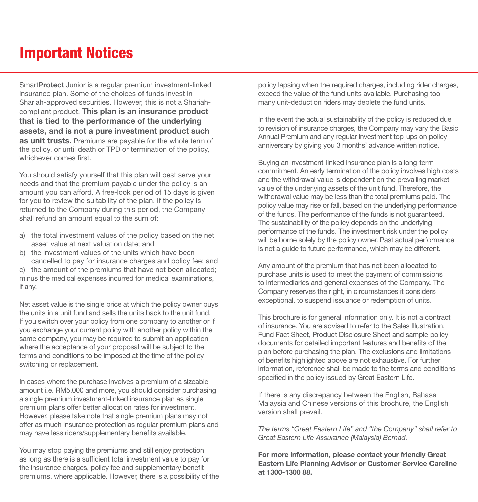# Important Notices

SmartProtect Junior is a regular premium investment-linked insurance plan. Some of the choices of funds invest in Shariah-approved securities. However, this is not a Shariahcompliant product. This plan is an insurance product that is tied to the performance of the underlying assets, and is not a pure investment product such as unit trusts. Premiums are payable for the whole term of the policy, or until death or TPD or termination of the policy, whichever comes first.

You should satisfy yourself that this plan will best serve your needs and that the premium payable under the policy is an amount you can afford. A free-look period of 15 days is given for you to review the suitability of the plan. If the policy is returned to the Company during this period, the Company shall refund an amount equal to the sum of:

- a) the total investment values of the policy based on the net asset value at next valuation date; and
- b) the investment values of the units which have been cancelled to pay for insurance charges and policy fee; and c) the amount of the premiums that have not been allocated;

minus the medical expenses incurred for medical examinations, if any.

Net asset value is the single price at which the policy owner buys the units in a unit fund and sells the units back to the unit fund. If you switch over your policy from one company to another or if you exchange your current policy with another policy within the same company, you may be required to submit an application where the acceptance of your proposal will be subject to the terms and conditions to be imposed at the time of the policy switching or replacement.

In cases where the purchase involves a premium of a sizeable amount i.e. RM5,000 and more, you should consider purchasing a single premium investment-linked insurance plan as single premium plans offer better allocation rates for investment. However, please take note that single premium plans may not offer as much insurance protection as regular premium plans and may have less riders/supplementary benefits available.

You may stop paying the premiums and still enjoy protection as long as there is a sufficient total investment value to pay for the insurance charges, policy fee and supplementary benefit premiums, where applicable. However, there is a possibility of the policy lapsing when the required charges, including rider charges, exceed the value of the fund units available. Purchasing too many unit-deduction riders may deplete the fund units.

In the event the actual sustainability of the policy is reduced due to revision of insurance charges, the Company may vary the Basic Annual Premium and any regular investment top-ups on policy anniversary by giving you 3 months' advance written notice.

Buying an investment-linked insurance plan is a long-term commitment. An early termination of the policy involves high costs and the withdrawal value is dependent on the prevailing market value of the underlying assets of the unit fund. Therefore, the withdrawal value may be less than the total premiums paid. The policy value may rise or fall, based on the underlying performance of the funds. The performance of the funds is not guaranteed. The sustainability of the policy depends on the underlying performance of the funds. The investment risk under the policy will be borne solely by the policy owner. Past actual performance is not a guide to future performance, which may be different.

Any amount of the premium that has not been allocated to purchase units is used to meet the payment of commissions to intermediaries and general expenses of the Company. The Company reserves the right, in circumstances it considers exceptional, to suspend issuance or redemption of units.

This brochure is for general information only. It is not a contract of insurance. You are advised to refer to the Sales Illustration, Fund Fact Sheet, Product Disclosure Sheet and sample policy documents for detailed important features and benefits of the plan before purchasing the plan. The exclusions and limitations of benefits highlighted above are not exhaustive. For further information, reference shall be made to the terms and conditions specified in the policy issued by Great Eastern Life.

If there is any discrepancy between the English, Bahasa Malaysia and Chinese versions of this brochure, the English version shall prevail.

*The terms "Great Eastern Life" and "the Company" shall refer to Great Eastern Life Assurance (Malaysia) Berhad.*

For more information, please contact your friendly Great Eastern Life Planning Advisor or Customer Service Careline at 1300-1300 88.